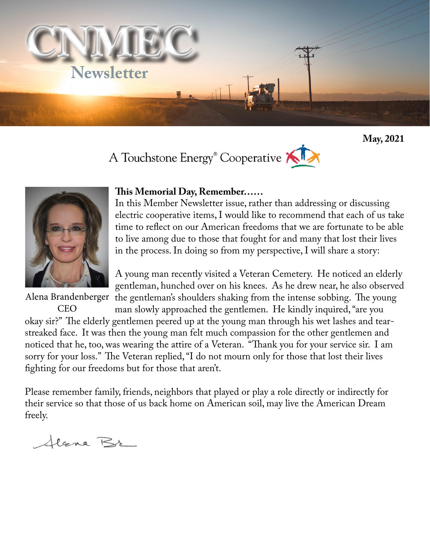

**May, 2021**





## **This Memorial Day, Remember……**

In this Member Newsletter issue, rather than addressing or discussing electric cooperative items, I would like to recommend that each of us take time to reflect on our American freedoms that we are fortunate to be able to live among due to those that fought for and many that lost their lives in the process. In doing so from my perspective, I will share a story:

A young man recently visited a Veteran Cemetery. He noticed an elderly gentleman, hunched over on his knees. As he drew near, he also observed the gentleman's shoulders shaking from the intense sobbing. The young

man slowly approached the gentlemen. He kindly inquired, "are you okay sir?" The elderly gentlemen peered up at the young man through his wet lashes and tearstreaked face. It was then the young man felt much compassion for the other gentlemen and noticed that he, too, was wearing the attire of a Veteran. "Thank you for your service sir. I am sorry for your loss." The Veteran replied, "I do not mourn only for those that lost their lives fighting for our freedoms but for those that aren't. **CEO** 

Please remember family, friends, neighbors that played or play a role directly or indirectly for their service so that those of us back home on American soil, may live the American Dream freely.

Alana Br